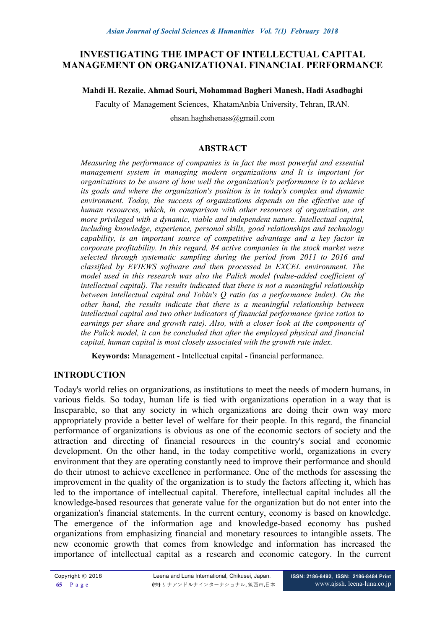## **INVESTIGATING THE IMPACT OF INTELLECTUAL CAPITAL MANAGEMENT ON ORGANIZATIONAL FINANCIAL PERFORMANCE**

#### **Mahdi H. Rezaiie, Ahmad Souri, Mohammad Bagheri Manesh, Hadi Asadbaghi**

Faculty of Management Sciences, KhatamAnbia University, Tehran, IRAN.

ehsan.haghshenass@gmail.com

#### **ABSTRACT**

*Measuring the performance of companies is in fact the most powerful and essential management system in managing modern organizations and It is important for organizations to be aware of how well the organization's performance is to achieve its goals and where the organization's position is in today's complex and dynamic*  environment. Today, the success of organizations depends on the effective use of *human resources, which, in comparison with other resources of organization, are more privileged with a dynamic, viable and independent nature. Intellectual capital, including knowledge, experience, personal skills, good relationships and technology capability, is an important source of competitive advantage and a key factor in corporate profitability. In this regard, 84 active companies in the stock market were selected through systematic sampling during the period from 2011 to 2016 and classified by EVIEWS software and then processed in EXCEL environment. The model used in this research was also the Palick model (value-added coefficient of intellectual capital). The results indicated that there is not a meaningful relationship between intellectual capital and Tobin's Q ratio (as a performance index). On the other hand, the results indicate that there is a meaningful relationship between intellectual capital and two other indicators of financial performance (price ratios to earnings per share and growth rate). Also, with a closer look at the components of the Palick model, it can be concluded that after the employed physical and financial capital, human capital is most closely associated with the growth rate index.*

**Keywords:** Management - Intellectual capital - financial performance.

#### **INTRODUCTION**

Today's world relies on organizations, as institutions to meet the needs of modern humans, in various fields. So today, human life is tied with organizations operation in a way that is Inseparable, so that any society in which organizations are doing their own way more appropriately provide a better level of welfare for their people. In this regard, the financial performance of organizations is obvious as one of the economic sectors of society and the attraction and directing of financial resources in the country's social and economic development. On the other hand, in the today competitive world, organizations in every environment that they are operating constantly need to improve their performance and should do their utmost to achieve excellence in performance. One of the methods for assessing the improvement in the quality of the organization is to study the factors affecting it, which has led to the importance of intellectual capital. Therefore, intellectual capital includes all the knowledge-based resources that generate value for the organization but do not enter into the organization's financial statements. In the current century, economy is based on knowledge. The emergence of the information age and knowledge-based economy has pushed organizations from emphasizing financial and monetary resources to intangible assets. The new economic growth that comes from knowledge and information has increased the importance of intellectual capital as a research and economic category. In the current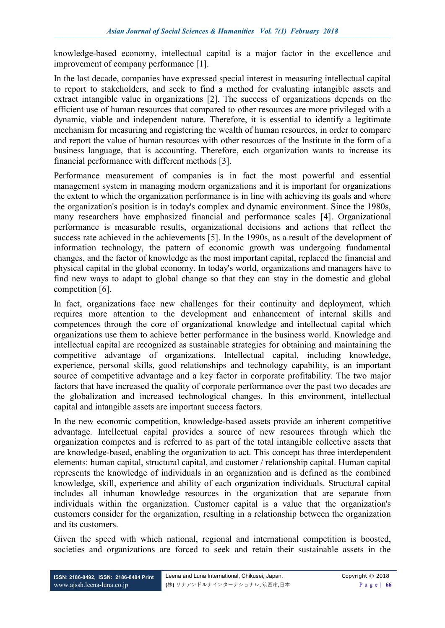knowledge-based economy, intellectual capital is a major factor in the excellence and improvement of company performance [1].

In the last decade, companies have expressed special interest in measuring intellectual capital to report to stakeholders, and seek to find a method for evaluating intangible assets and extract intangible value in organizations [2]. The success of organizations depends on the efficient use of human resources that compared to other resources are more privileged with a dynamic, viable and independent nature. Therefore, it is essential to identify a legitimate mechanism for measuring and registering the wealth of human resources, in order to compare and report the value of human resources with other resources of the Institute in the form of a business language, that is accounting. Therefore, each organization wants to increase its financial performance with different methods [3].

Performance measurement of companies is in fact the most powerful and essential management system in managing modern organizations and it is important for organizations the extent to which the organization performance is in line with achieving its goals and where the organization's position is in today's complex and dynamic environment. Since the 1980s, many researchers have emphasized financial and performance scales [4]. Organizational performance is measurable results, organizational decisions and actions that reflect the success rate achieved in the achievements [5]. In the 1990s, as a result of the development of information technology, the pattern of economic growth was undergoing fundamental changes, and the factor of knowledge as the most important capital, replaced the financial and physical capital in the global economy. In today's world, organizations and managers have to find new ways to adapt to global change so that they can stay in the domestic and global competition [6].

In fact, organizations face new challenges for their continuity and deployment, which requires more attention to the development and enhancement of internal skills and competences through the core of organizational knowledge and intellectual capital which organizations use them to achieve better performance in the business world. Knowledge and intellectual capital are recognized as sustainable strategies for obtaining and maintaining the competitive advantage of organizations. Intellectual capital, including knowledge, experience, personal skills, good relationships and technology capability, is an important source of competitive advantage and a key factor in corporate profitability. The two major factors that have increased the quality of corporate performance over the past two decades are the globalization and increased technological changes. In this environment, intellectual capital and intangible assets are important success factors.

In the new economic competition, knowledge-based assets provide an inherent competitive advantage. Intellectual capital provides a source of new resources through which the organization competes and is referred to as part of the total intangible collective assets that are knowledge-based, enabling the organization to act. This concept has three interdependent elements: human capital, structural capital, and customer / relationship capital. Human capital represents the knowledge of individuals in an organization and is defined as the combined knowledge, skill, experience and ability of each organization individuals. Structural capital includes all inhuman knowledge resources in the organization that are separate from individuals within the organization. Customer capital is a value that the organization's customers consider for the organization, resulting in a relationship between the organization and its customers.

Given the speed with which national, regional and international competition is boosted, societies and organizations are forced to seek and retain their sustainable assets in the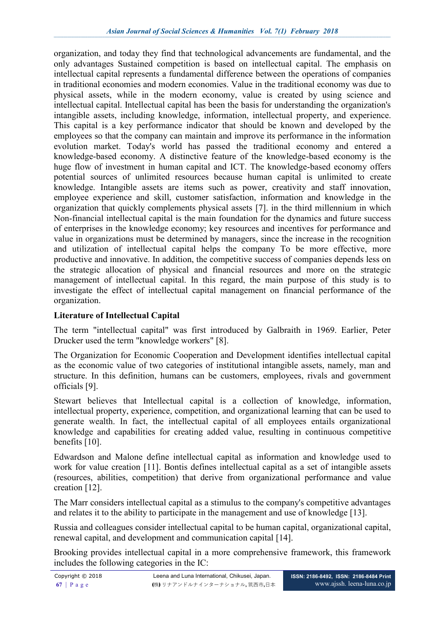organization, and today they find that technological advancements are fundamental, and the only advantages Sustained competition is based on intellectual capital. The emphasis on intellectual capital represents a fundamental difference between the operations of companies in traditional economies and modern economies. Value in the traditional economy was due to physical assets, while in the modern economy, value is created by using science and intellectual capital. Intellectual capital has been the basis for understanding the organization's intangible assets, including knowledge, information, intellectual property, and experience. This capital is a key performance indicator that should be known and developed by the employees so that the company can maintain and improve its performance in the information evolution market. Today's world has passed the traditional economy and entered a knowledge-based economy. A distinctive feature of the knowledge-based economy is the huge flow of investment in human capital and ICT. The knowledge-based economy offers potential sources of unlimited resources because human capital is unlimited to create knowledge. Intangible assets are items such as power, creativity and staff innovation, employee experience and skill, customer satisfaction, information and knowledge in the organization that quickly complements physical assets [7]. in the third millennium in which Non-financial intellectual capital is the main foundation for the dynamics and future success of enterprises in the knowledge economy; key resources and incentives for performance and value in organizations must be determined by managers, since the increase in the recognition and utilization of intellectual capital helps the company To be more effective, more productive and innovative. In addition, the competitive success of companies depends less on the strategic allocation of physical and financial resources and more on the strategic management of intellectual capital. In this regard, the main purpose of this study is to investigate the effect of intellectual capital management on financial performance of the organization.

# **Literature of Intellectual Capital**

The term "intellectual capital" was first introduced by Galbraith in 1969. Earlier, Peter Drucker used the term "knowledge workers" [8].

The Organization for Economic Cooperation and Development identifies intellectual capital as the economic value of two categories of institutional intangible assets, namely, man and structure. In this definition, humans can be customers, employees, rivals and government officials [9].

Stewart believes that Intellectual capital is a collection of knowledge, information, intellectual property, experience, competition, and organizational learning that can be used to generate wealth. In fact, the intellectual capital of all employees entails organizational knowledge and capabilities for creating added value, resulting in continuous competitive benefits [10].

Edwardson and Malone define intellectual capital as information and knowledge used to work for value creation [11]. Bontis defines intellectual capital as a set of intangible assets (resources, abilities, competition) that derive from organizational performance and value creation [12].

The Marr considers intellectual capital as a stimulus to the company's competitive advantages and relates it to the ability to participate in the management and use of knowledge [13].

Russia and colleagues consider intellectual capital to be human capital, organizational capital, renewal capital, and development and communication capital [14].

Brooking provides intellectual capital in a more comprehensive framework, this framework includes the following categories in the IC: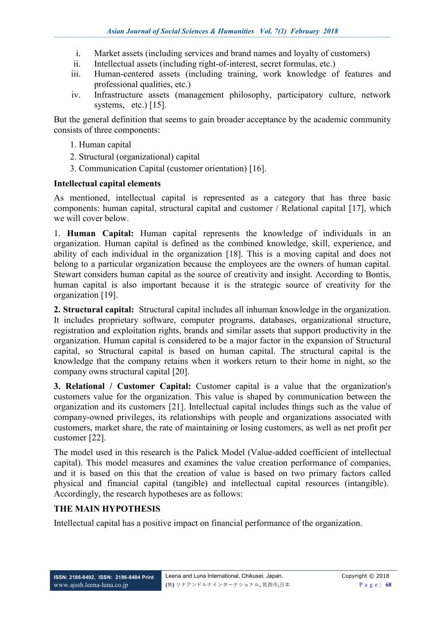- i. Market assets (including services and brand names and loyalty of customers)
- ii. Intellectual assets (including right-of-interest, secret formulas, etc.)
- iii. Human-centered assets (including training, work knowledge of features and professional qualities, etc.)
- iv. Infrastructure assets (management philosophy, participatory culture, network systems, etc.) [15].

But the general definition that seems to gain broader acceptance by the academic community consists of three components:

- 1. Human capital
- 2. Structural (organizational) capital
- 3. Communication Capital (customer orientation) [16].

#### **Intellectual capital elements**

As mentioned, intellectual capital is represented as a category that has three basic components: human capital, structural capital and customer / Relational capital [17], which we will cover below.

1. **Human Capital:** Human capital represents the knowledge of individuals in an organization. Human capital is defined as the combined knowledge, skill, experience, and ability of each individual in the organization [18]. This is a moving capital and does not belong to a particular organization because the employees are the owners of human capital. Stewart considers human capital as the source of creativity and insight. According to Bontis, human capital is also important because it is the strategic source of creativity for the organization [19].

**2. Structural capital:** Structural capital includes all inhuman knowledge in the organization. It includes proprietary software, computer programs, databases, organizational structure, registration and exploitation rights, brands and similar assets that support productivity in the organization. Human capital is considered to be a major factor in the expansion of Structural capital, so Structural capital is based on human capital. The structural capital is the knowledge that the company retains when it workers return to their home in night, so the company owns structural capital [20].

**3. Relational / Customer Capital:** Customer capital is a value that the organization's customers value for the organization. This value is shaped by communication between the organization and its customers [21]. Intellectual capital includes things such as the value of company-owned privileges, its relationships with people and organizations associated with customers, market share, the rate of maintaining or losing customers, as well as net profit per customer [22].

The model used in this research is the Palick Model (Value-added coefficient of intellectual capital). This model measures and examines the value creation performance of companies, and it is based on this that the creation of value is based on two primary factors called physical and financial capital (tangible) and intellectual capital resources (intangible). Accordingly, the research hypotheses are as follows:

## **THE MAIN HYPOTHESIS**

Intellectual capital has a positive impact on financial performance of the organization.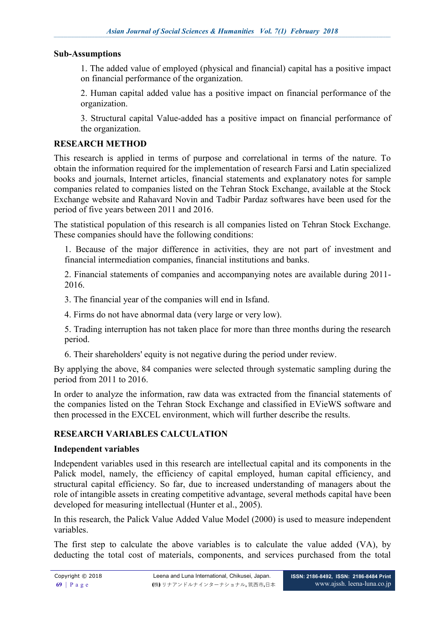### **Sub-Assumptions**

1. The added value of employed (physical and financial) capital has a positive impact on financial performance of the organization.

2. Human capital added value has a positive impact on financial performance of the organization.

3. Structural capital Value-added has a positive impact on financial performance of the organization.

### **RESEARCH METHOD**

This research is applied in terms of purpose and correlational in terms of the nature. To obtain the information required for the implementation of research Farsi and Latin specialized books and journals, Internet articles, financial statements and explanatory notes for sample companies related to companies listed on the Tehran Stock Exchange, available at the Stock Exchange website and Rahavard Novin and Tadbir Pardaz softwares have been used for the period of five years between 2011 and 2016.

The statistical population of this research is all companies listed on Tehran Stock Exchange. These companies should have the following conditions:

1. Because of the major difference in activities, they are not part of investment and financial intermediation companies, financial institutions and banks.

2. Financial statements of companies and accompanying notes are available during 2011- 2016.

3. The financial year of the companies will end in Isfand.

4. Firms do not have abnormal data (very large or very low).

5. Trading interruption has not taken place for more than three months during the research period.

6. Their shareholders' equity is not negative during the period under review.

By applying the above, 84 companies were selected through systematic sampling during the period from 2011 to 2016.

In order to analyze the information, raw data was extracted from the financial statements of the companies listed on the Tehran Stock Exchange and classified in EVieWS software and then processed in the EXCEL environment, which will further describe the results.

## **RESEARCH VARIABLES CALCULATION**

## **Independent variables**

Independent variables used in this research are intellectual capital and its components in the Palick model, namely, the efficiency of capital employed, human capital efficiency, and structural capital efficiency. So far, due to increased understanding of managers about the role of intangible assets in creating competitive advantage, several methods capital have been developed for measuring intellectual (Hunter et al., 2005).

In this research, the Palick Value Added Value Model (2000) is used to measure independent variables.

The first step to calculate the above variables is to calculate the value added (VA), by deducting the total cost of materials, components, and services purchased from the total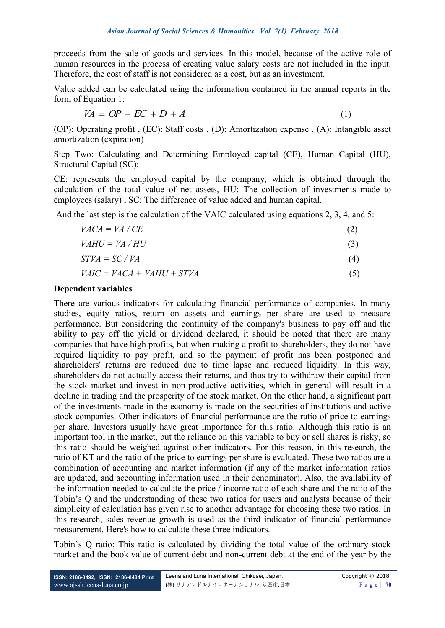proceeds from the sale of goods and services. In this model, because of the active role of human resources in the process of creating value salary costs are not included in the input. Therefore, the cost of staff is not considered as a cost, but as an investment.

Value added can be calculated using the information contained in the annual reports in the form of Equation 1:

$$
VA = OP + EC + D + A \tag{1}
$$

(OP): Operating profit , (EC): Staff costs , (D): Amortization expense , (A): Intangible asset amortization (expiration)

Step Two: Calculating and Determining Employed capital (CE), Human Capital (HU), Structural Capital (SC):

CE: represents the employed capital by the company, which is obtained through the calculation of the total value of net assets, HU: The collection of investments made to employees (salary) , SC: The difference of value added and human capital.

And the last step is the calculation of the VAIC calculated using equations 2, 3, 4, and 5:

| $VACA = VA / CE$            | (2) |
|-----------------------------|-----|
| $VAHU = VA / HU$            | (3) |
| $STVA = SC / VA$            | (4) |
| $VAIC = VACA + VAHU + STVA$ | (5) |

#### **Dependent variables**

There are various indicators for calculating financial performance of companies. In many studies, equity ratios, return on assets and earnings per share are used to measure performance. But considering the continuity of the company's business to pay off and the ability to pay off the yield or dividend declared, it should be noted that there are many companies that have high profits, but when making a profit to shareholders, they do not have required liquidity to pay profit, and so the payment of profit has been postponed and shareholders' returns are reduced due to time lapse and reduced liquidity. In this way, shareholders do not actually access their returns, and thus try to withdraw their capital from the stock market and invest in non-productive activities, which in general will result in a decline in trading and the prosperity of the stock market. On the other hand, a significant part of the investments made in the economy is made on the securities of institutions and active stock companies. Other indicators of financial performance are the ratio of price to earnings per share. Investors usually have great importance for this ratio. Although this ratio is an important tool in the market, but the reliance on this variable to buy or sell shares is risky, so this ratio should be weighed against other indicators. For this reason, in this research, the ratio of KT and the ratio of the price to earnings per share is evaluated. These two ratios are a combination of accounting and market information (if any of the market information ratios are updated, and accounting information used in their denominator). Also, the availability of the information needed to calculate the price / income ratio of each share and the ratio of the Tobin's Q and the understanding of these two ratios for users and analysts because of their simplicity of calculation has given rise to another advantage for choosing these two ratios. In this research, sales revenue growth is used as the third indicator of financial performance measurement. Here's how to calculate these three indicators.

Tobin's Q ratio: This ratio is calculated by dividing the total value of the ordinary stock market and the book value of current debt and non-current debt at the end of the year by the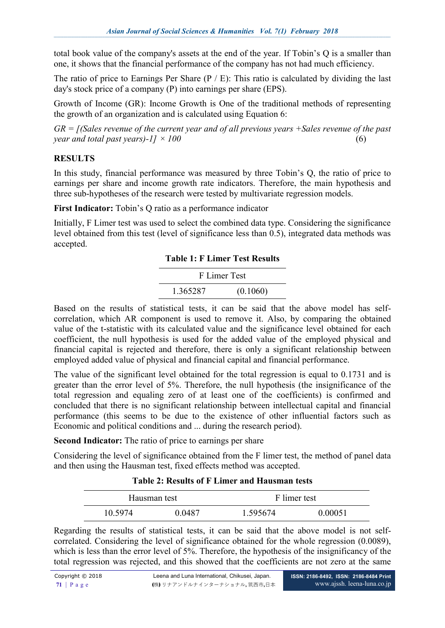total book value of the company's assets at the end of the year. If Tobin's Q is a smaller than one, it shows that the financial performance of the company has not had much efficiency.

The ratio of price to Earnings Per Share (P / E): This ratio is calculated by dividing the last day's stock price of a company (P) into earnings per share (EPS).

Growth of Income (GR): Income Growth is One of the traditional methods of representing the growth of an organization and is calculated using Equation 6:

*GR = [(Sales revenue of the current year and of all previous years +Sales revenue of the past year and total past years)-1]*  $\times$  100  $(6)$ 

## **RESULTS**

In this study, financial performance was measured by three Tobin's Q, the ratio of price to earnings per share and income growth rate indicators. Therefore, the main hypothesis and three sub-hypotheses of the research were tested by multivariate regression models.

**First Indicator:** Tobin's Q ratio as a performance indicator

Initially, F Limer test was used to select the combined data type. Considering the significance level obtained from this test (level of significance less than 0.5), integrated data methods was accepted.

|  |  |  |  |  | <b>Table 1: F Limer Test Results</b> |
|--|--|--|--|--|--------------------------------------|
|--|--|--|--|--|--------------------------------------|

|          | F Limer Test |
|----------|--------------|
| 1.365287 | (0.1060)     |

Based on the results of statistical tests, it can be said that the above model has selfcorrelation, which AR component is used to remove it. Also, by comparing the obtained value of the t-statistic with its calculated value and the significance level obtained for each coefficient, the null hypothesis is used for the added value of the employed physical and financial capital is rejected and therefore, there is only a significant relationship between employed added value of physical and financial capital and financial performance.

The value of the significant level obtained for the total regression is equal to 0.1731 and is greater than the error level of 5%. Therefore, the null hypothesis (the insignificance of the total regression and equaling zero of at least one of the coefficients) is confirmed and concluded that there is no significant relationship between intellectual capital and financial performance (this seems to be due to the existence of other influential factors such as Economic and political conditions and ... during the research period).

**Second Indicator:** The ratio of price to earnings per share

Considering the level of significance obtained from the F limer test, the method of panel data and then using the Hausman test, fixed effects method was accepted.

#### **Table 2: Results of F Limer and Hausman tests**

| Hausman test |        | F limer test |         |
|--------------|--------|--------------|---------|
| 10.5974      | 0 0487 | 1.595674     | 0.00051 |

Regarding the results of statistical tests, it can be said that the above model is not selfcorrelated. Considering the level of significance obtained for the whole regression (0.0089), which is less than the error level of 5%. Therefore, the hypothesis of the insignificancy of the total regression was rejected, and this showed that the coefficients are not zero at the same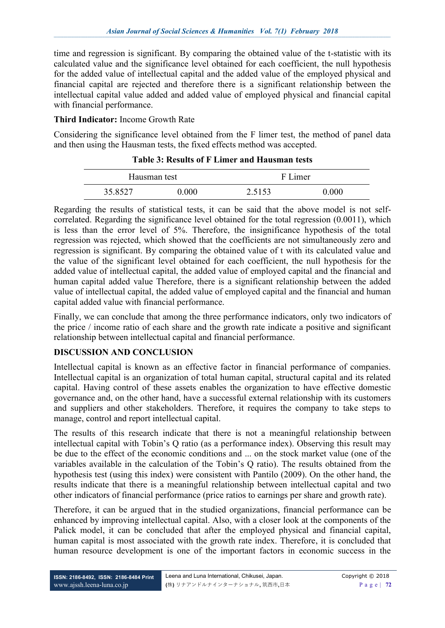time and regression is significant. By comparing the obtained value of the t-statistic with its calculated value and the significance level obtained for each coefficient, the null hypothesis for the added value of intellectual capital and the added value of the employed physical and financial capital are rejected and therefore there is a significant relationship between the intellectual capital value added and added value of employed physical and financial capital with financial performance.

## **Third Indicator:** Income Growth Rate

Considering the significance level obtained from the F limer test, the method of panel data and then using the Hausman tests, the fixed effects method was accepted.

|         | Hausman test |        | F Limer |  |
|---------|--------------|--------|---------|--|
| 35.8527 | 0 000        | 2.5153 | 0.000   |  |

### **Table 3: Results of F Limer and Hausman tests**

Regarding the results of statistical tests, it can be said that the above model is not selfcorrelated. Regarding the significance level obtained for the total regression (0.0011), which is less than the error level of 5%. Therefore, the insignificance hypothesis of the total regression was rejected, which showed that the coefficients are not simultaneously zero and regression is significant. By comparing the obtained value of t with its calculated value and the value of the significant level obtained for each coefficient, the null hypothesis for the added value of intellectual capital, the added value of employed capital and the financial and human capital added value Therefore, there is a significant relationship between the added value of intellectual capital, the added value of employed capital and the financial and human capital added value with financial performance.

Finally, we can conclude that among the three performance indicators, only two indicators of the price / income ratio of each share and the growth rate indicate a positive and significant relationship between intellectual capital and financial performance.

## **DISCUSSION AND CONCLUSION**

Intellectual capital is known as an effective factor in financial performance of companies. Intellectual capital is an organization of total human capital, structural capital and its related capital. Having control of these assets enables the organization to have effective domestic governance and, on the other hand, have a successful external relationship with its customers and suppliers and other stakeholders. Therefore, it requires the company to take steps to manage, control and report intellectual capital.

The results of this research indicate that there is not a meaningful relationship between intellectual capital with Tobin's Q ratio (as a performance index). Observing this result may be due to the effect of the economic conditions and ... on the stock market value (one of the variables available in the calculation of the Tobin's Q ratio). The results obtained from the hypothesis test (using this index) were consistent with Pantilo (2009). On the other hand, the results indicate that there is a meaningful relationship between intellectual capital and two other indicators of financial performance (price ratios to earnings per share and growth rate).

Therefore, it can be argued that in the studied organizations, financial performance can be enhanced by improving intellectual capital. Also, with a closer look at the components of the Palick model, it can be concluded that after the employed physical and financial capital, human capital is most associated with the growth rate index. Therefore, it is concluded that human resource development is one of the important factors in economic success in the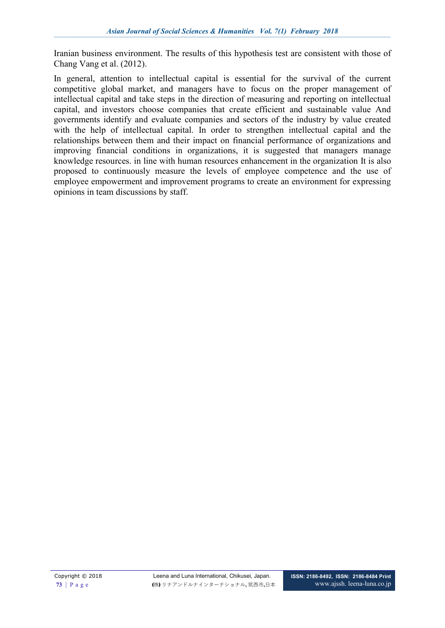Iranian business environment. The results of this hypothesis test are consistent with those of Chang Vang et al. (2012).

In general, attention to intellectual capital is essential for the survival of the current competitive global market, and managers have to focus on the proper management of intellectual capital and take steps in the direction of measuring and reporting on intellectual capital, and investors choose companies that create efficient and sustainable value And governments identify and evaluate companies and sectors of the industry by value created with the help of intellectual capital. In order to strengthen intellectual capital and the relationships between them and their impact on financial performance of organizations and improving financial conditions in organizations, it is suggested that managers manage knowledge resources. in line with human resources enhancement in the organization It is also proposed to continuously measure the levels of employee competence and the use of employee empowerment and improvement programs to create an environment for expressing opinions in team discussions by staff.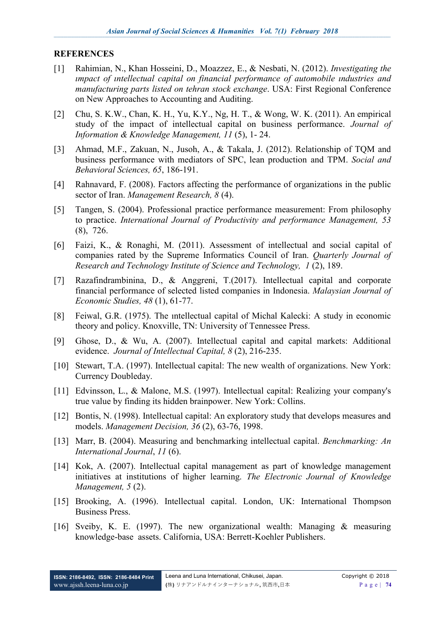#### **REFERENCES**

- [1] Rahimian, N., Khan Hosseini, D., Moazzez, E., & Nesbati, N. (2012). *Investigating the ımpact of ıntellectual capital on financial performance of automobile ındustries and manufacturing parts listed on tehran stock exchange*. USA: First Regional Conference on New Approaches to Accounting and Auditing.
- [2] Chu, S. K.W., Chan, K. H., Yu, K.Y., Ng, H. T., & Wong, W. K. (2011). An empirical study of the impact of intellectual capital on business performance. *Journal of Information & Knowledge Management, 11* (5), 1- 24.
- [3] Ahmad, M.F., Zakuan, N., Jusoh, A., & Takala, J. (2012). Relationship of TQM and business performance with mediators of SPC, lean production and TPM. *Social and Behavioral Sciences, 65*, 186-191.
- [4] Rahnavard, F. (2008). Factors affecting the performance of organizations in the public sector of Iran. *Management Research, 8* (4).
- [5] Tangen, S. (2004). Professional practice performance measurement: From philosophy to practice. *International Journal of Productivity and performance Management, 53* (8), 726.
- [6] Faizi, K., & Ronaghi, M. (2011). Assessment of intellectual and social capital of companies rated by the Supreme Informatics Council of Iran. *Quarterly Journal of Research and Technology Institute of Science and Technology, 1* (2), 189.
- [7] Razafindrambinina, D., & Anggreni, T.(2017). Intellectual capital and corporate financial performance of selected listed companies in Indonesia. *Malaysian Journal of Economic Studies, 48* (1), 61-77.
- [8] Feiwal, G.R. (1975). The ıntellectual capital of Michal Kalecki: A study in economic theory and policy. Knoxville, TN: University of Tennessee Press.
- [9] Ghose, D., & Wu, A. (2007). Intellectual capital and capital markets: Additional evidence. *Journal of Intellectual Capital, 8* (2), 216-235.
- [10] Stewart, T.A. (1997). Intellectual capital: The new wealth of organizations. New York: Currency Doubleday.
- [11] Edvinsson, L., & Malone, M.S. (1997). Intellectual capital: Realizing your company's true value by finding its hidden brainpower. New York: Collins.
- [12] Bontis, N. (1998). Intellectual capital: An exploratory study that develops measures and models. *Management Decision, 36* (2), 63-76, 1998.
- [13] Marr, B. (2004). Measuring and benchmarking intellectual capital. *Benchmarking: An International Journal*, *11* (6).
- [14] Kok, A. (2007). Intellectual capital management as part of knowledge management initiatives at institutions of higher learning. *The Electronic Journal of Knowledge Management, 5* (2).
- [15] Brooking, A. (1996). Intellectual capital. London, UK: International Thompson Business Press.
- [16] Sveiby, K. E. (1997). The new organizational wealth: Managing & measuring knowledge-base assets. California, USA: Berrett-Koehler Publishers.